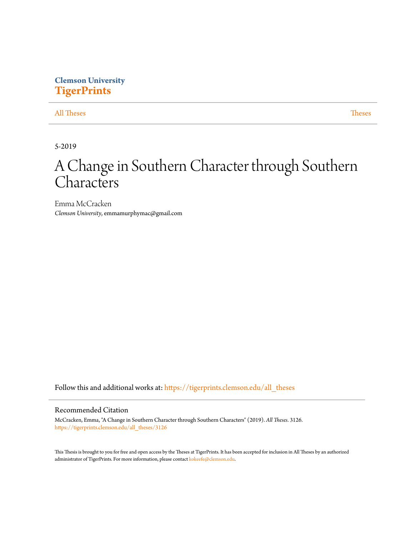# **Clemson University [TigerPrints](https://tigerprints.clemson.edu?utm_source=tigerprints.clemson.edu%2Fall_theses%2F3126&utm_medium=PDF&utm_campaign=PDFCoverPages)**

# [All Theses](https://tigerprints.clemson.edu/all_theses?utm_source=tigerprints.clemson.edu%2Fall_theses%2F3126&utm_medium=PDF&utm_campaign=PDFCoverPages) **[Theses](https://tigerprints.clemson.edu/theses?utm_source=tigerprints.clemson.edu%2Fall_theses%2F3126&utm_medium=PDF&utm_campaign=PDFCoverPages)**

5-2019

# A Change in Southern Character through Southern **Characters**

Emma McCracken *Clemson University*, emmamurphymac@gmail.com

Follow this and additional works at: [https://tigerprints.clemson.edu/all\\_theses](https://tigerprints.clemson.edu/all_theses?utm_source=tigerprints.clemson.edu%2Fall_theses%2F3126&utm_medium=PDF&utm_campaign=PDFCoverPages)

# Recommended Citation

McCracken, Emma, "A Change in Southern Character through Southern Characters" (2019). *All Theses*. 3126. [https://tigerprints.clemson.edu/all\\_theses/3126](https://tigerprints.clemson.edu/all_theses/3126?utm_source=tigerprints.clemson.edu%2Fall_theses%2F3126&utm_medium=PDF&utm_campaign=PDFCoverPages)

This Thesis is brought to you for free and open access by the Theses at TigerPrints. It has been accepted for inclusion in All Theses by an authorized administrator of TigerPrints. For more information, please contact [kokeefe@clemson.edu](mailto:kokeefe@clemson.edu).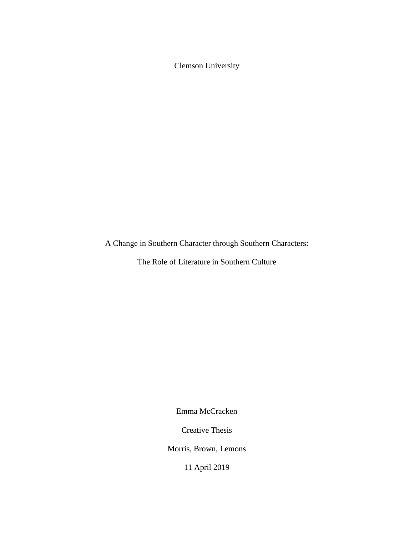Clemson University

A Change in Southern Character through Southern Characters:

The Role of Literature in Southern Culture

Emma McCracken

Creative Thesis

Morris, Brown, Lemons

11 April 2019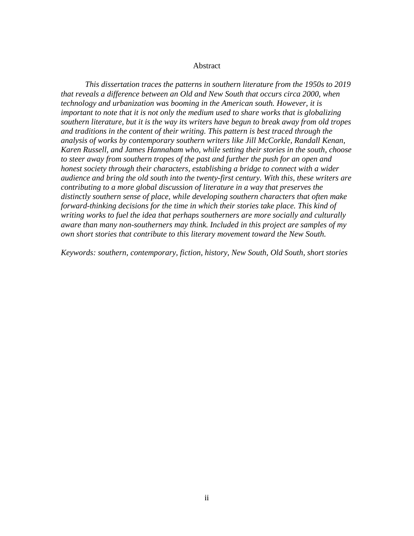#### Abstract

*This dissertation traces the patterns in southern literature from the 1950s to 2019 that reveals a difference between an Old and New South that occurs circa 2000, when technology and urbanization was booming in the American south. However, it is important to note that it is not only the medium used to share works that is globalizing southern literature, but it is the way its writers have begun to break away from old tropes and traditions in the content of their writing. This pattern is best traced through the analysis of works by contemporary southern writers like Jill McCorkle, Randall Kenan, Karen Russell, and James Hannaham who, while setting their stories in the south, choose to steer away from southern tropes of the past and further the push for an open and honest society through their characters, establishing a bridge to connect with a wider audience and bring the old south into the twenty-first century. With this, these writers are contributing to a more global discussion of literature in a way that preserves the distinctly southern sense of place, while developing southern characters that often make forward-thinking decisions for the time in which their stories take place. This kind of writing works to fuel the idea that perhaps southerners are more socially and culturally aware than many non-southerners may think. Included in this project are samples of my own short stories that contribute to this literary movement toward the New South.* 

*Keywords: southern, contemporary, fiction, history, New South, Old South, short stories*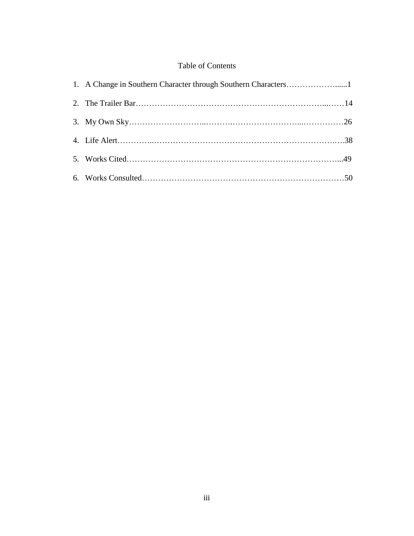# Table of Contents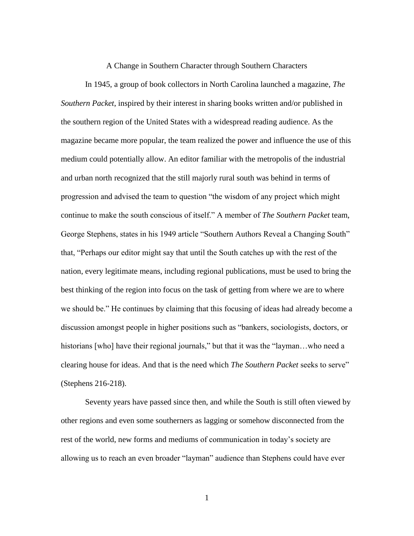#### A Change in Southern Character through Southern Characters

In 1945, a group of book collectors in North Carolina launched a magazine, *The Southern Packet*, inspired by their interest in sharing books written and/or published in the southern region of the United States with a widespread reading audience. As the magazine became more popular, the team realized the power and influence the use of this medium could potentially allow. An editor familiar with the metropolis of the industrial and urban north recognized that the still majorly rural south was behind in terms of progression and advised the team to question "the wisdom of any project which might continue to make the south conscious of itself." A member of *The Southern Packet* team, George Stephens, states in his 1949 article "Southern Authors Reveal a Changing South" that, "Perhaps our editor might say that until the South catches up with the rest of the nation, every legitimate means, including regional publications, must be used to bring the best thinking of the region into focus on the task of getting from where we are to where we should be." He continues by claiming that this focusing of ideas had already become a discussion amongst people in higher positions such as "bankers, sociologists, doctors, or historians [who] have their regional journals," but that it was the "layman...who need a clearing house for ideas. And that is the need which *The Southern Packet* seeks to serve" (Stephens 216-218).

Seventy years have passed since then, and while the South is still often viewed by other regions and even some southerners as lagging or somehow disconnected from the rest of the world, new forms and mediums of communication in today's society are allowing us to reach an even broader "layman" audience than Stephens could have ever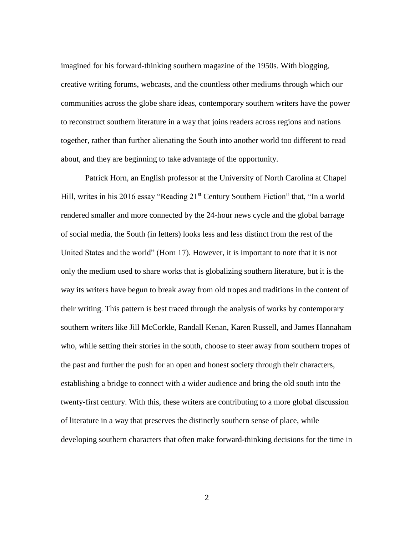imagined for his forward-thinking southern magazine of the 1950s. With blogging, creative writing forums, webcasts, and the countless other mediums through which our communities across the globe share ideas, contemporary southern writers have the power to reconstruct southern literature in a way that joins readers across regions and nations together, rather than further alienating the South into another world too different to read about, and they are beginning to take advantage of the opportunity.

Patrick Horn, an English professor at the University of North Carolina at Chapel Hill, writes in his 2016 essay "Reading 21<sup>st</sup> Century Southern Fiction" that, "In a world rendered smaller and more connected by the 24-hour news cycle and the global barrage of social media, the South (in letters) looks less and less distinct from the rest of the United States and the world" (Horn 17). However, it is important to note that it is not only the medium used to share works that is globalizing southern literature, but it is the way its writers have begun to break away from old tropes and traditions in the content of their writing. This pattern is best traced through the analysis of works by contemporary southern writers like Jill McCorkle, Randall Kenan, Karen Russell, and James Hannaham who, while setting their stories in the south, choose to steer away from southern tropes of the past and further the push for an open and honest society through their characters, establishing a bridge to connect with a wider audience and bring the old south into the twenty-first century. With this, these writers are contributing to a more global discussion of literature in a way that preserves the distinctly southern sense of place, while developing southern characters that often make forward-thinking decisions for the time in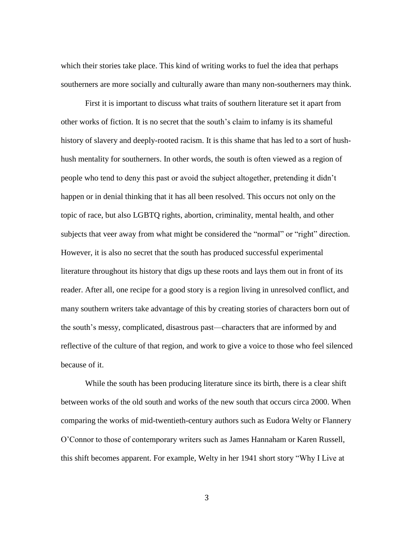which their stories take place. This kind of writing works to fuel the idea that perhaps southerners are more socially and culturally aware than many non-southerners may think.

First it is important to discuss what traits of southern literature set it apart from other works of fiction. It is no secret that the south's claim to infamy is its shameful history of slavery and deeply-rooted racism. It is this shame that has led to a sort of hushhush mentality for southerners. In other words, the south is often viewed as a region of people who tend to deny this past or avoid the subject altogether, pretending it didn't happen or in denial thinking that it has all been resolved. This occurs not only on the topic of race, but also LGBTQ rights, abortion, criminality, mental health, and other subjects that veer away from what might be considered the "normal" or "right" direction. However, it is also no secret that the south has produced successful experimental literature throughout its history that digs up these roots and lays them out in front of its reader. After all, one recipe for a good story is a region living in unresolved conflict, and many southern writers take advantage of this by creating stories of characters born out of the south's messy, complicated, disastrous past—characters that are informed by and reflective of the culture of that region, and work to give a voice to those who feel silenced because of it.

While the south has been producing literature since its birth, there is a clear shift between works of the old south and works of the new south that occurs circa 2000. When comparing the works of mid-twentieth-century authors such as Eudora Welty or Flannery O'Connor to those of contemporary writers such as James Hannaham or Karen Russell, this shift becomes apparent. For example, Welty in her 1941 short story "Why I Live at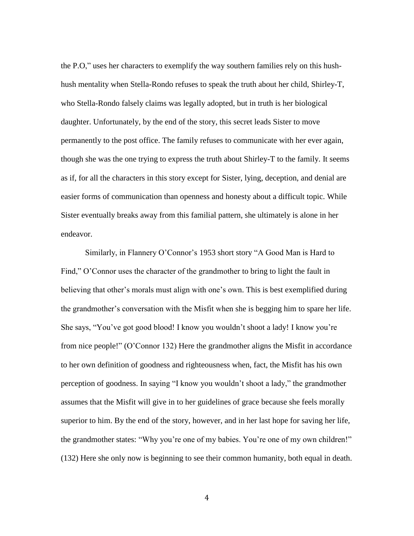the P.O," uses her characters to exemplify the way southern families rely on this hushhush mentality when Stella-Rondo refuses to speak the truth about her child, Shirley-T, who Stella-Rondo falsely claims was legally adopted, but in truth is her biological daughter. Unfortunately, by the end of the story, this secret leads Sister to move permanently to the post office. The family refuses to communicate with her ever again, though she was the one trying to express the truth about Shirley-T to the family. It seems as if, for all the characters in this story except for Sister, lying, deception, and denial are easier forms of communication than openness and honesty about a difficult topic. While Sister eventually breaks away from this familial pattern, she ultimately is alone in her endeavor.

Similarly, in Flannery O'Connor's 1953 short story "A Good Man is Hard to Find," O'Connor uses the character of the grandmother to bring to light the fault in believing that other's morals must align with one's own. This is best exemplified during the grandmother's conversation with the Misfit when she is begging him to spare her life. She says, "You've got good blood! I know you wouldn't shoot a lady! I know you're from nice people!" (O'Connor 132) Here the grandmother aligns the Misfit in accordance to her own definition of goodness and righteousness when, fact, the Misfit has his own perception of goodness. In saying "I know you wouldn't shoot a lady," the grandmother assumes that the Misfit will give in to her guidelines of grace because she feels morally superior to him. By the end of the story, however, and in her last hope for saving her life, the grandmother states: "Why you're one of my babies. You're one of my own children!" (132) Here she only now is beginning to see their common humanity, both equal in death.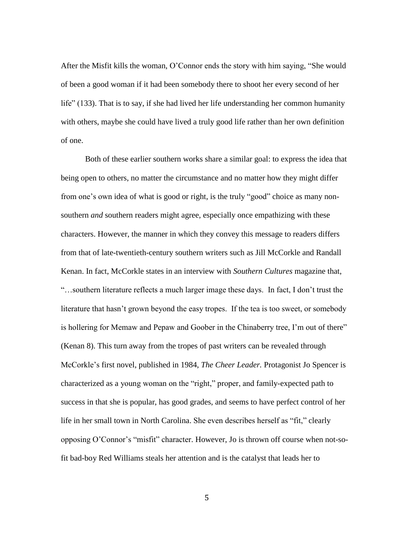After the Misfit kills the woman, O'Connor ends the story with him saying, "She would of been a good woman if it had been somebody there to shoot her every second of her life" (133). That is to say, if she had lived her life understanding her common humanity with others, maybe she could have lived a truly good life rather than her own definition of one.

Both of these earlier southern works share a similar goal: to express the idea that being open to others, no matter the circumstance and no matter how they might differ from one's own idea of what is good or right, is the truly "good" choice as many nonsouthern *and* southern readers might agree, especially once empathizing with these characters. However, the manner in which they convey this message to readers differs from that of late-twentieth-century southern writers such as Jill McCorkle and Randall Kenan. In fact, McCorkle states in an interview with *Southern Cultures* magazine that, "…southern literature reflects a much larger image these days. In fact, I don't trust the literature that hasn't grown beyond the easy tropes. If the tea is too sweet, or somebody is hollering for Memaw and Pepaw and Goober in the Chinaberry tree, I'm out of there" (Kenan 8). This turn away from the tropes of past writers can be revealed through McCorkle's first novel, published in 1984, *The Cheer Leader.* Protagonist Jo Spencer is characterized as a young woman on the "right," proper, and family-expected path to success in that she is popular, has good grades, and seems to have perfect control of her life in her small town in North Carolina. She even describes herself as "fit," clearly opposing O'Connor's "misfit" character. However, Jo is thrown off course when not-sofit bad-boy Red Williams steals her attention and is the catalyst that leads her to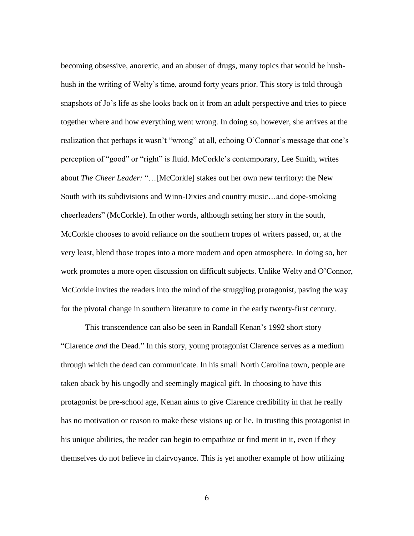becoming obsessive, anorexic, and an abuser of drugs, many topics that would be hushhush in the writing of Welty's time, around forty years prior. This story is told through snapshots of Jo's life as she looks back on it from an adult perspective and tries to piece together where and how everything went wrong. In doing so, however, she arrives at the realization that perhaps it wasn't "wrong" at all, echoing O'Connor's message that one's perception of "good" or "right" is fluid. McCorkle's contemporary, Lee Smith, writes about *The Cheer Leader:* "…[McCorkle] stakes out her own new territory: the New South with its subdivisions and Winn-Dixies and country music…and dope-smoking cheerleaders" (McCorkle). In other words, although setting her story in the south, McCorkle chooses to avoid reliance on the southern tropes of writers passed, or, at the very least, blend those tropes into a more modern and open atmosphere. In doing so, her work promotes a more open discussion on difficult subjects. Unlike Welty and O'Connor, McCorkle invites the readers into the mind of the struggling protagonist, paving the way for the pivotal change in southern literature to come in the early twenty-first century.

This transcendence can also be seen in Randall Kenan's 1992 short story "Clarence *and* the Dead." In this story, young protagonist Clarence serves as a medium through which the dead can communicate. In his small North Carolina town, people are taken aback by his ungodly and seemingly magical gift. In choosing to have this protagonist be pre-school age, Kenan aims to give Clarence credibility in that he really has no motivation or reason to make these visions up or lie. In trusting this protagonist in his unique abilities, the reader can begin to empathize or find merit in it, even if they themselves do not believe in clairvoyance. This is yet another example of how utilizing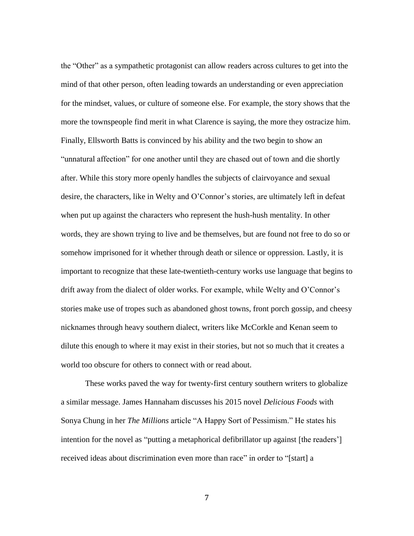the "Other" as a sympathetic protagonist can allow readers across cultures to get into the mind of that other person, often leading towards an understanding or even appreciation for the mindset, values, or culture of someone else. For example, the story shows that the more the townspeople find merit in what Clarence is saying, the more they ostracize him. Finally, Ellsworth Batts is convinced by his ability and the two begin to show an "unnatural affection" for one another until they are chased out of town and die shortly after. While this story more openly handles the subjects of clairvoyance and sexual desire, the characters, like in Welty and O'Connor's stories, are ultimately left in defeat when put up against the characters who represent the hush-hush mentality. In other words, they are shown trying to live and be themselves, but are found not free to do so or somehow imprisoned for it whether through death or silence or oppression. Lastly, it is important to recognize that these late-twentieth-century works use language that begins to drift away from the dialect of older works. For example, while Welty and O'Connor's stories make use of tropes such as abandoned ghost towns, front porch gossip, and cheesy nicknames through heavy southern dialect, writers like McCorkle and Kenan seem to dilute this enough to where it may exist in their stories, but not so much that it creates a world too obscure for others to connect with or read about.

These works paved the way for twenty-first century southern writers to globalize a similar message. James Hannaham discusses his 2015 novel *Delicious Foods* with Sonya Chung in her *The Millions* article "A Happy Sort of Pessimism." He states his intention for the novel as "putting a metaphorical defibrillator up against [the readers'] received ideas about discrimination even more than race" in order to "[start] a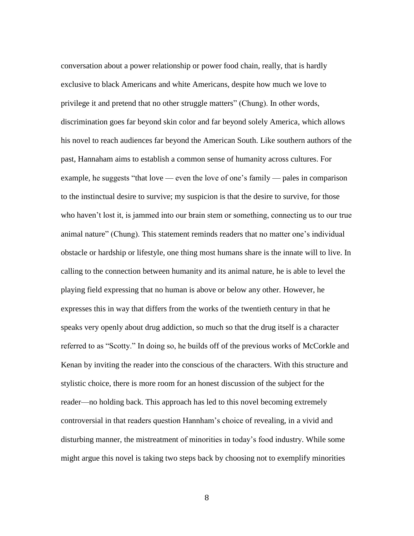conversation about a power relationship or power food chain, really, that is hardly exclusive to black Americans and white Americans, despite how much we love to privilege it and pretend that no other struggle matters" (Chung). In other words, discrimination goes far beyond skin color and far beyond solely America, which allows his novel to reach audiences far beyond the American South. Like southern authors of the past, Hannaham aims to establish a common sense of humanity across cultures. For example, he suggests "that love — even the love of one's family — pales in comparison to the instinctual desire to survive; my suspicion is that the desire to survive, for those who haven't lost it, is jammed into our brain stem or something, connecting us to our true animal nature" (Chung). This statement reminds readers that no matter one's individual obstacle or hardship or lifestyle, one thing most humans share is the innate will to live. In calling to the connection between humanity and its animal nature, he is able to level the playing field expressing that no human is above or below any other. However, he expresses this in way that differs from the works of the twentieth century in that he speaks very openly about drug addiction, so much so that the drug itself is a character referred to as "Scotty." In doing so, he builds off of the previous works of McCorkle and Kenan by inviting the reader into the conscious of the characters. With this structure and stylistic choice, there is more room for an honest discussion of the subject for the reader—no holding back. This approach has led to this novel becoming extremely controversial in that readers question Hannham's choice of revealing, in a vivid and disturbing manner, the mistreatment of minorities in today's food industry. While some might argue this novel is taking two steps back by choosing not to exemplify minorities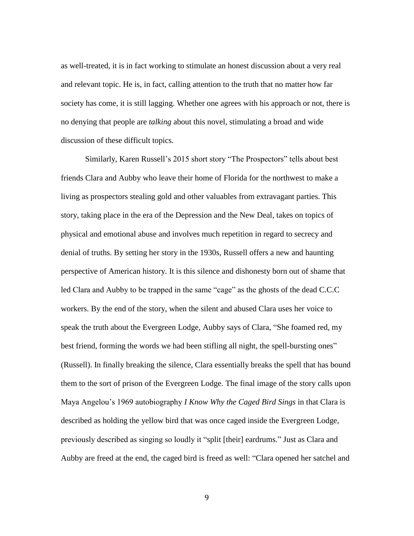as well-treated, it is in fact working to stimulate an honest discussion about a very real and relevant topic. He is, in fact, calling attention to the truth that no matter how far society has come, it is still lagging. Whether one agrees with his approach or not, there is no denying that people are *talking* about this novel, stimulating a broad and wide discussion of these difficult topics.

Similarly, Karen Russell's 2015 short story "The Prospectors" tells about best friends Clara and Aubby who leave their home of Florida for the northwest to make a living as prospectors stealing gold and other valuables from extravagant parties. This story, taking place in the era of the Depression and the New Deal, takes on topics of physical and emotional abuse and involves much repetition in regard to secrecy and denial of truths. By setting her story in the 1930s, Russell offers a new and haunting perspective of American history. It is this silence and dishonesty born out of shame that led Clara and Aubby to be trapped in the same "cage" as the ghosts of the dead C.C.C workers. By the end of the story, when the silent and abused Clara uses her voice to speak the truth about the Evergreen Lodge, Aubby says of Clara, "She foamed red, my best friend, forming the words we had been stifling all night, the spell-bursting ones" (Russell). In finally breaking the silence, Clara essentially breaks the spell that has bound them to the sort of prison of the Evergreen Lodge. The final image of the story calls upon Maya Angelou's 1969 autobiography *I Know Why the Caged Bird Sings* in that Clara is described as holding the yellow bird that was once caged inside the Evergreen Lodge, previously described as singing so loudly it "split [their] eardrums." Just as Clara and Aubby are freed at the end, the caged bird is freed as well: "Clara opened her satchel and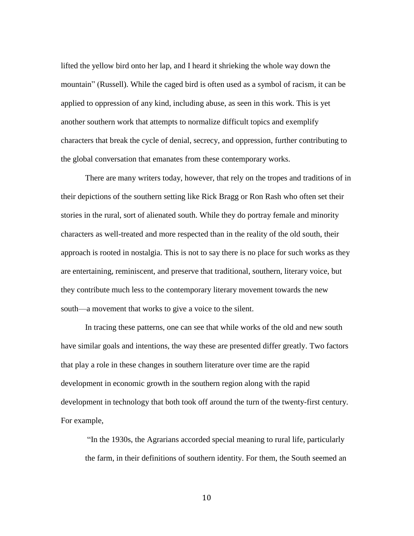lifted the yellow bird onto her lap, and I heard it shrieking the whole way down the mountain" (Russell). While the caged bird is often used as a symbol of racism, it can be applied to oppression of any kind, including abuse, as seen in this work. This is yet another southern work that attempts to normalize difficult topics and exemplify characters that break the cycle of denial, secrecy, and oppression, further contributing to the global conversation that emanates from these contemporary works.

There are many writers today, however, that rely on the tropes and traditions of in their depictions of the southern setting like Rick Bragg or Ron Rash who often set their stories in the rural, sort of alienated south. While they do portray female and minority characters as well-treated and more respected than in the reality of the old south, their approach is rooted in nostalgia. This is not to say there is no place for such works as they are entertaining, reminiscent, and preserve that traditional, southern, literary voice, but they contribute much less to the contemporary literary movement towards the new south—a movement that works to give a voice to the silent.

In tracing these patterns, one can see that while works of the old and new south have similar goals and intentions, the way these are presented differ greatly. Two factors that play a role in these changes in southern literature over time are the rapid development in economic growth in the southern region along with the rapid development in technology that both took off around the turn of the twenty-first century. For example,

"In the 1930s, the Agrarians accorded special meaning to rural life, particularly the farm, in their definitions of southern identity. For them, the South seemed an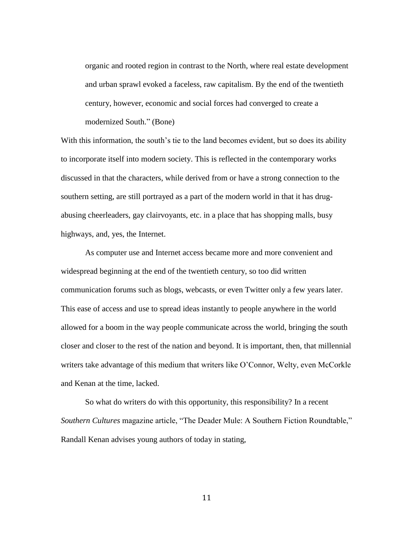organic and rooted region in contrast to the North, where real estate development and urban sprawl evoked a faceless, raw capitalism. By the end of the twentieth century, however, economic and social forces had converged to create a modernized South." (Bone)

With this information, the south's tie to the land becomes evident, but so does its ability to incorporate itself into modern society. This is reflected in the contemporary works discussed in that the characters, while derived from or have a strong connection to the southern setting, are still portrayed as a part of the modern world in that it has drugabusing cheerleaders, gay clairvoyants, etc. in a place that has shopping malls, busy highways, and, yes, the Internet.

As computer use and Internet access became more and more convenient and widespread beginning at the end of the twentieth century, so too did written communication forums such as blogs, webcasts, or even Twitter only a few years later. This ease of access and use to spread ideas instantly to people anywhere in the world allowed for a boom in the way people communicate across the world, bringing the south closer and closer to the rest of the nation and beyond. It is important, then, that millennial writers take advantage of this medium that writers like O'Connor, Welty, even McCorkle and Kenan at the time, lacked.

So what do writers do with this opportunity, this responsibility? In a recent *Southern Cultures* magazine article, "The Deader Mule: A Southern Fiction Roundtable," Randall Kenan advises young authors of today in stating,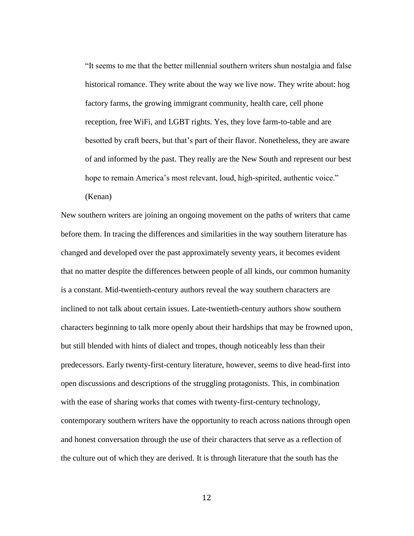"It seems to me that the better millennial southern writers shun nostalgia and false historical romance. They write about the way we live now. They write about: hog factory farms, the growing immigrant community, health care, cell phone reception, free WiFi, and LGBT rights. Yes, they love farm-to-table and are besotted by craft beers, but that's part of their flavor. Nonetheless, they are aware of and informed by the past. They really are the New South and represent our best hope to remain America's most relevant, loud, high-spirited, authentic voice."

(Kenan)

New southern writers are joining an ongoing movement on the paths of writers that came before them. In tracing the differences and similarities in the way southern literature has changed and developed over the past approximately seventy years, it becomes evident that no matter despite the differences between people of all kinds, our common humanity is a constant. Mid-twentieth-century authors reveal the way southern characters are inclined to not talk about certain issues. Late-twentieth-century authors show southern characters beginning to talk more openly about their hardships that may be frowned upon, but still blended with hints of dialect and tropes, though noticeably less than their predecessors. Early twenty-first-century literature, however, seems to dive head-first into open discussions and descriptions of the struggling protagonists. This, in combination with the ease of sharing works that comes with twenty-first-century technology, contemporary southern writers have the opportunity to reach across nations through open and honest conversation through the use of their characters that serve as a reflection of the culture out of which they are derived. It is through literature that the south has the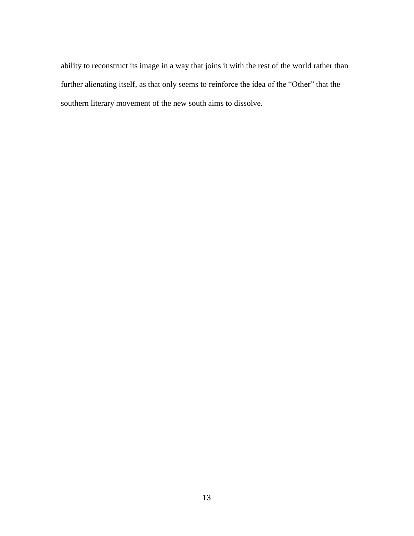ability to reconstruct its image in a way that joins it with the rest of the world rather than further alienating itself, as that only seems to reinforce the idea of the "Other" that the southern literary movement of the new south aims to dissolve.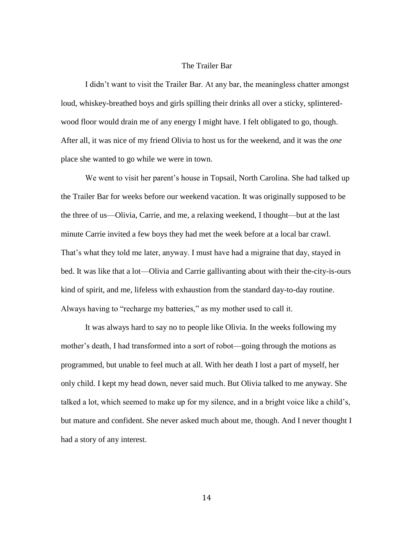## The Trailer Bar

I didn't want to visit the Trailer Bar. At any bar, the meaningless chatter amongst loud, whiskey-breathed boys and girls spilling their drinks all over a sticky, splinteredwood floor would drain me of any energy I might have. I felt obligated to go, though. After all, it was nice of my friend Olivia to host us for the weekend, and it was the *one* place she wanted to go while we were in town.

We went to visit her parent's house in Topsail, North Carolina. She had talked up the Trailer Bar for weeks before our weekend vacation. It was originally supposed to be the three of us—Olivia, Carrie, and me, a relaxing weekend, I thought—but at the last minute Carrie invited a few boys they had met the week before at a local bar crawl. That's what they told me later, anyway. I must have had a migraine that day, stayed in bed. It was like that a lot—Olivia and Carrie gallivanting about with their the-city-is-ours kind of spirit, and me, lifeless with exhaustion from the standard day-to-day routine. Always having to "recharge my batteries," as my mother used to call it.

It was always hard to say no to people like Olivia. In the weeks following my mother's death, I had transformed into a sort of robot—going through the motions as programmed, but unable to feel much at all. With her death I lost a part of myself, her only child. I kept my head down, never said much. But Olivia talked to me anyway. She talked a lot, which seemed to make up for my silence, and in a bright voice like a child's, but mature and confident. She never asked much about me, though. And I never thought I had a story of any interest.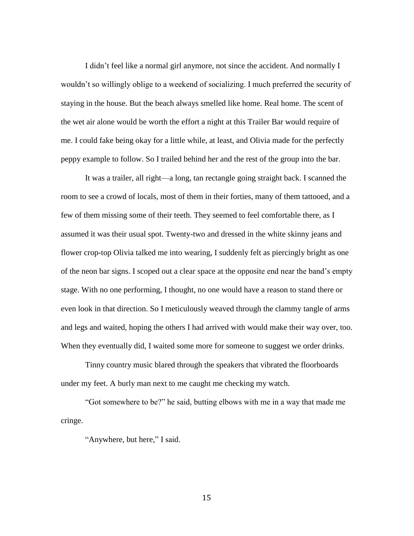I didn't feel like a normal girl anymore, not since the accident. And normally I wouldn't so willingly oblige to a weekend of socializing. I much preferred the security of staying in the house. But the beach always smelled like home. Real home. The scent of the wet air alone would be worth the effort a night at this Trailer Bar would require of me. I could fake being okay for a little while, at least, and Olivia made for the perfectly peppy example to follow. So I trailed behind her and the rest of the group into the bar.

It was a trailer, all right—a long, tan rectangle going straight back. I scanned the room to see a crowd of locals, most of them in their forties, many of them tattooed, and a few of them missing some of their teeth. They seemed to feel comfortable there, as I assumed it was their usual spot. Twenty-two and dressed in the white skinny jeans and flower crop-top Olivia talked me into wearing, I suddenly felt as piercingly bright as one of the neon bar signs. I scoped out a clear space at the opposite end near the band's empty stage. With no one performing, I thought, no one would have a reason to stand there or even look in that direction. So I meticulously weaved through the clammy tangle of arms and legs and waited, hoping the others I had arrived with would make their way over, too. When they eventually did, I waited some more for someone to suggest we order drinks.

Tinny country music blared through the speakers that vibrated the floorboards under my feet. A burly man next to me caught me checking my watch.

"Got somewhere to be?" he said, butting elbows with me in a way that made me cringe.

"Anywhere, but here," I said.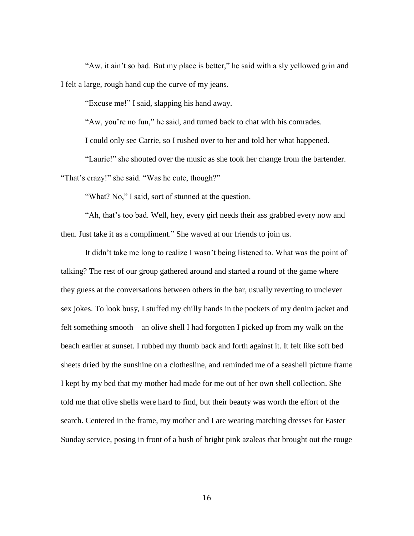"Aw, it ain't so bad. But my place is better," he said with a sly yellowed grin and I felt a large, rough hand cup the curve of my jeans.

"Excuse me!" I said, slapping his hand away.

"Aw, you're no fun," he said, and turned back to chat with his comrades.

I could only see Carrie, so I rushed over to her and told her what happened.

"Laurie!" she shouted over the music as she took her change from the bartender. "That's crazy!" she said. "Was he cute, though?"

"What? No," I said, sort of stunned at the question.

"Ah, that's too bad. Well, hey, every girl needs their ass grabbed every now and then. Just take it as a compliment." She waved at our friends to join us.

It didn't take me long to realize I wasn't being listened to. What was the point of talking? The rest of our group gathered around and started a round of the game where they guess at the conversations between others in the bar, usually reverting to unclever sex jokes. To look busy, I stuffed my chilly hands in the pockets of my denim jacket and felt something smooth—an olive shell I had forgotten I picked up from my walk on the beach earlier at sunset. I rubbed my thumb back and forth against it. It felt like soft bed sheets dried by the sunshine on a clothesline, and reminded me of a seashell picture frame I kept by my bed that my mother had made for me out of her own shell collection. She told me that olive shells were hard to find, but their beauty was worth the effort of the search. Centered in the frame, my mother and I are wearing matching dresses for Easter Sunday service, posing in front of a bush of bright pink azaleas that brought out the rouge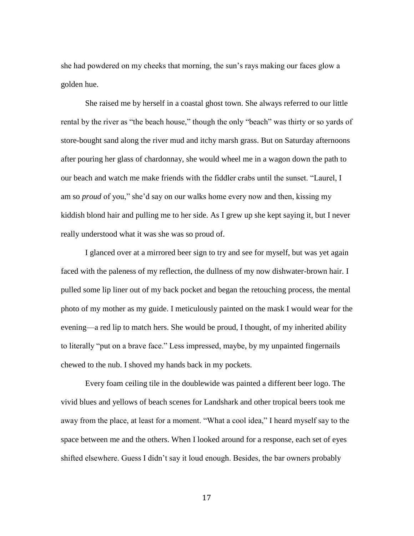she had powdered on my cheeks that morning, the sun's rays making our faces glow a golden hue.

She raised me by herself in a coastal ghost town. She always referred to our little rental by the river as "the beach house," though the only "beach" was thirty or so yards of store-bought sand along the river mud and itchy marsh grass. But on Saturday afternoons after pouring her glass of chardonnay, she would wheel me in a wagon down the path to our beach and watch me make friends with the fiddler crabs until the sunset. "Laurel, I am so *proud* of you," she'd say on our walks home every now and then, kissing my kiddish blond hair and pulling me to her side. As I grew up she kept saying it, but I never really understood what it was she was so proud of.

I glanced over at a mirrored beer sign to try and see for myself, but was yet again faced with the paleness of my reflection, the dullness of my now dishwater-brown hair. I pulled some lip liner out of my back pocket and began the retouching process, the mental photo of my mother as my guide. I meticulously painted on the mask I would wear for the evening—a red lip to match hers. She would be proud, I thought, of my inherited ability to literally "put on a brave face." Less impressed, maybe, by my unpainted fingernails chewed to the nub. I shoved my hands back in my pockets.

Every foam ceiling tile in the doublewide was painted a different beer logo. The vivid blues and yellows of beach scenes for Landshark and other tropical beers took me away from the place, at least for a moment. "What a cool idea," I heard myself say to the space between me and the others. When I looked around for a response, each set of eyes shifted elsewhere. Guess I didn't say it loud enough. Besides, the bar owners probably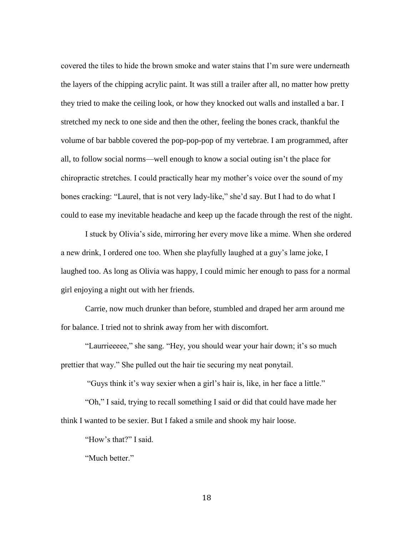covered the tiles to hide the brown smoke and water stains that I'm sure were underneath the layers of the chipping acrylic paint. It was still a trailer after all, no matter how pretty they tried to make the ceiling look, or how they knocked out walls and installed a bar. I stretched my neck to one side and then the other, feeling the bones crack, thankful the volume of bar babble covered the pop-pop-pop of my vertebrae. I am programmed, after all, to follow social norms—well enough to know a social outing isn't the place for chiropractic stretches. I could practically hear my mother's voice over the sound of my bones cracking: "Laurel, that is not very lady-like," she'd say. But I had to do what I could to ease my inevitable headache and keep up the facade through the rest of the night.

I stuck by Olivia's side, mirroring her every move like a mime. When she ordered a new drink, I ordered one too. When she playfully laughed at a guy's lame joke, I laughed too. As long as Olivia was happy, I could mimic her enough to pass for a normal girl enjoying a night out with her friends.

Carrie, now much drunker than before, stumbled and draped her arm around me for balance. I tried not to shrink away from her with discomfort.

"Laurrieeeee," she sang. "Hey, you should wear your hair down; it's so much prettier that way." She pulled out the hair tie securing my neat ponytail.

"Guys think it's way sexier when a girl's hair is, like, in her face a little."

"Oh," I said, trying to recall something I said or did that could have made her think I wanted to be sexier. But I faked a smile and shook my hair loose.

"How's that?" I said.

"Much better."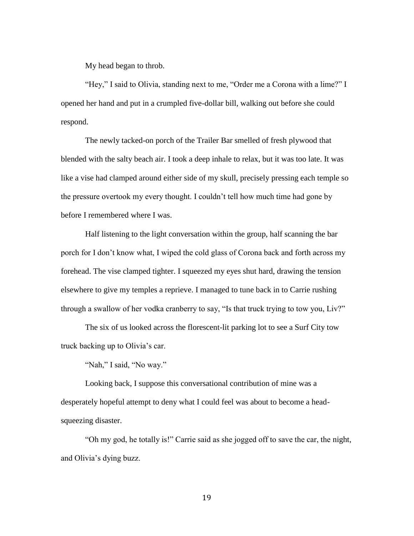My head began to throb.

"Hey," I said to Olivia, standing next to me, "Order me a Corona with a lime?" I opened her hand and put in a crumpled five-dollar bill, walking out before she could respond.

The newly tacked-on porch of the Trailer Bar smelled of fresh plywood that blended with the salty beach air. I took a deep inhale to relax, but it was too late. It was like a vise had clamped around either side of my skull, precisely pressing each temple so the pressure overtook my every thought. I couldn't tell how much time had gone by before I remembered where I was.

Half listening to the light conversation within the group, half scanning the bar porch for I don't know what, I wiped the cold glass of Corona back and forth across my forehead. The vise clamped tighter. I squeezed my eyes shut hard, drawing the tension elsewhere to give my temples a reprieve. I managed to tune back in to Carrie rushing through a swallow of her vodka cranberry to say, "Is that truck trying to tow you, Liv?"

The six of us looked across the florescent-lit parking lot to see a Surf City tow truck backing up to Olivia's car.

"Nah," I said, "No way."

Looking back, I suppose this conversational contribution of mine was a desperately hopeful attempt to deny what I could feel was about to become a headsqueezing disaster.

"Oh my god, he totally is!" Carrie said as she jogged off to save the car, the night, and Olivia's dying buzz.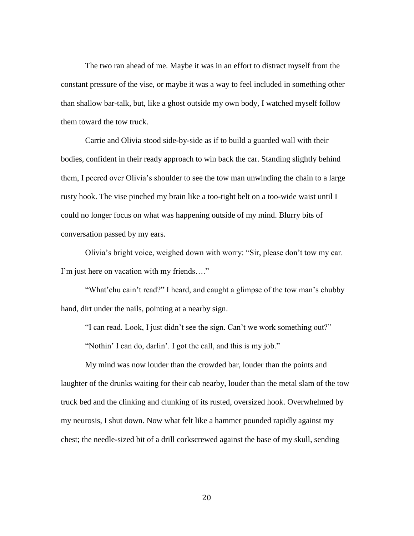The two ran ahead of me. Maybe it was in an effort to distract myself from the constant pressure of the vise, or maybe it was a way to feel included in something other than shallow bar-talk, but, like a ghost outside my own body, I watched myself follow them toward the tow truck.

Carrie and Olivia stood side-by-side as if to build a guarded wall with their bodies, confident in their ready approach to win back the car. Standing slightly behind them, I peered over Olivia's shoulder to see the tow man unwinding the chain to a large rusty hook. The vise pinched my brain like a too-tight belt on a too-wide waist until I could no longer focus on what was happening outside of my mind. Blurry bits of conversation passed by my ears.

Olivia's bright voice, weighed down with worry: "Sir, please don't tow my car. I'm just here on vacation with my friends…."

"What'chu cain't read?" I heard, and caught a glimpse of the tow man's chubby hand, dirt under the nails, pointing at a nearby sign.

"I can read. Look, I just didn't see the sign. Can't we work something out?"

"Nothin' I can do, darlin'. I got the call, and this is my job."

My mind was now louder than the crowded bar, louder than the points and laughter of the drunks waiting for their cab nearby, louder than the metal slam of the tow truck bed and the clinking and clunking of its rusted, oversized hook. Overwhelmed by my neurosis, I shut down. Now what felt like a hammer pounded rapidly against my chest; the needle-sized bit of a drill corkscrewed against the base of my skull, sending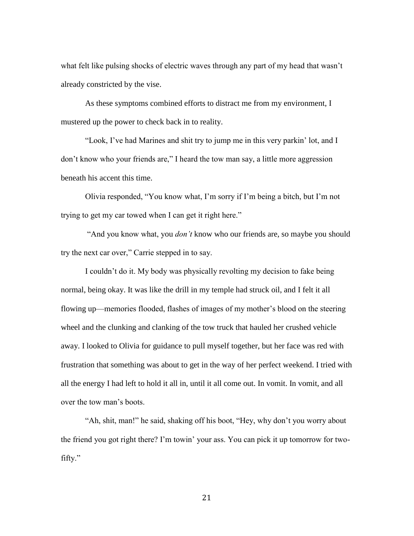what felt like pulsing shocks of electric waves through any part of my head that wasn't already constricted by the vise.

As these symptoms combined efforts to distract me from my environment, I mustered up the power to check back in to reality.

"Look, I've had Marines and shit try to jump me in this very parkin' lot, and I don't know who your friends are," I heard the tow man say, a little more aggression beneath his accent this time.

Olivia responded, "You know what, I'm sorry if I'm being a bitch, but I'm not trying to get my car towed when I can get it right here."

"And you know what, you *don't* know who our friends are, so maybe you should try the next car over," Carrie stepped in to say.

I couldn't do it. My body was physically revolting my decision to fake being normal, being okay. It was like the drill in my temple had struck oil, and I felt it all flowing up—memories flooded, flashes of images of my mother's blood on the steering wheel and the clunking and clanking of the tow truck that hauled her crushed vehicle away. I looked to Olivia for guidance to pull myself together, but her face was red with frustration that something was about to get in the way of her perfect weekend. I tried with all the energy I had left to hold it all in, until it all come out. In vomit. In vomit, and all over the tow man's boots.

"Ah, shit, man!" he said, shaking off his boot, "Hey, why don't you worry about the friend you got right there? I'm towin' your ass. You can pick it up tomorrow for twofifty."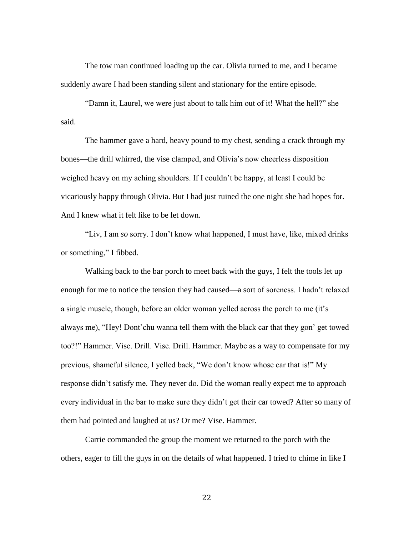The tow man continued loading up the car. Olivia turned to me, and I became suddenly aware I had been standing silent and stationary for the entire episode.

"Damn it, Laurel, we were just about to talk him out of it! What the hell?" she said.

The hammer gave a hard, heavy pound to my chest, sending a crack through my bones—the drill whirred, the vise clamped, and Olivia's now cheerless disposition weighed heavy on my aching shoulders. If I couldn't be happy, at least I could be vicariously happy through Olivia. But I had just ruined the one night she had hopes for. And I knew what it felt like to be let down.

"Liv, I am *so* sorry. I don't know what happened, I must have, like, mixed drinks or something," I fibbed.

Walking back to the bar porch to meet back with the guys, I felt the tools let up enough for me to notice the tension they had caused—a sort of soreness. I hadn't relaxed a single muscle, though, before an older woman yelled across the porch to me (it's always me), "Hey! Dont'chu wanna tell them with the black car that they gon' get towed too?!" Hammer. Vise. Drill. Vise. Drill. Hammer. Maybe as a way to compensate for my previous, shameful silence, I yelled back, "We don't know whose car that is!" My response didn't satisfy me. They never do. Did the woman really expect me to approach every individual in the bar to make sure they didn't get their car towed? After so many of them had pointed and laughed at us? Or me? Vise. Hammer.

Carrie commanded the group the moment we returned to the porch with the others, eager to fill the guys in on the details of what happened. I tried to chime in like I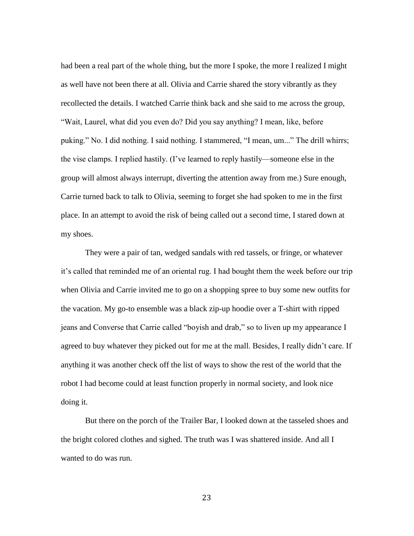had been a real part of the whole thing, but the more I spoke, the more I realized I might as well have not been there at all. Olivia and Carrie shared the story vibrantly as they recollected the details. I watched Carrie think back and she said to me across the group, "Wait, Laurel, what did you even do? Did you say anything? I mean, like, before puking." No. I did nothing. I said nothing. I stammered, "I mean, um..." The drill whirrs; the vise clamps. I replied hastily. (I've learned to reply hastily—someone else in the group will almost always interrupt, diverting the attention away from me.) Sure enough, Carrie turned back to talk to Olivia, seeming to forget she had spoken to me in the first place. In an attempt to avoid the risk of being called out a second time, I stared down at my shoes.

They were a pair of tan, wedged sandals with red tassels, or fringe, or whatever it's called that reminded me of an oriental rug. I had bought them the week before our trip when Olivia and Carrie invited me to go on a shopping spree to buy some new outfits for the vacation. My go-to ensemble was a black zip-up hoodie over a T-shirt with ripped jeans and Converse that Carrie called "boyish and drab," so to liven up my appearance I agreed to buy whatever they picked out for me at the mall. Besides, I really didn't care. If anything it was another check off the list of ways to show the rest of the world that the robot I had become could at least function properly in normal society, and look nice doing it.

But there on the porch of the Trailer Bar, I looked down at the tasseled shoes and the bright colored clothes and sighed. The truth was I was shattered inside. And all I wanted to do was run.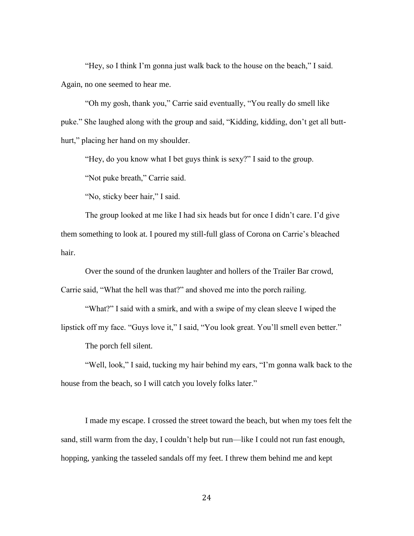"Hey, so I think I'm gonna just walk back to the house on the beach," I said. Again, no one seemed to hear me.

"Oh my gosh, thank you," Carrie said eventually, "You really do smell like puke." She laughed along with the group and said, "Kidding, kidding, don't get all butthurt," placing her hand on my shoulder.

"Hey, do you know what I bet guys think is sexy?" I said to the group.

"Not puke breath," Carrie said.

"No, sticky beer hair," I said.

The group looked at me like I had six heads but for once I didn't care. I'd give them something to look at. I poured my still-full glass of Corona on Carrie's bleached hair.

Over the sound of the drunken laughter and hollers of the Trailer Bar crowd, Carrie said, "What the hell was that?" and shoved me into the porch railing.

"What?" I said with a smirk, and with a swipe of my clean sleeve I wiped the lipstick off my face. "Guys love it," I said, "You look great. You'll smell even better."

The porch fell silent.

"Well, look," I said, tucking my hair behind my ears, "I'm gonna walk back to the house from the beach, so I will catch you lovely folks later."

I made my escape. I crossed the street toward the beach, but when my toes felt the sand, still warm from the day, I couldn't help but run—like I could not run fast enough, hopping, yanking the tasseled sandals off my feet. I threw them behind me and kept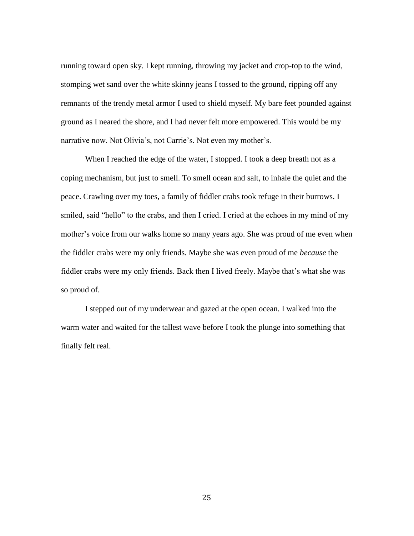running toward open sky. I kept running, throwing my jacket and crop-top to the wind, stomping wet sand over the white skinny jeans I tossed to the ground, ripping off any remnants of the trendy metal armor I used to shield myself. My bare feet pounded against ground as I neared the shore, and I had never felt more empowered. This would be my narrative now. Not Olivia's, not Carrie's. Not even my mother's.

When I reached the edge of the water, I stopped. I took a deep breath not as a coping mechanism, but just to smell. To smell ocean and salt, to inhale the quiet and the peace. Crawling over my toes, a family of fiddler crabs took refuge in their burrows. I smiled, said "hello" to the crabs, and then I cried. I cried at the echoes in my mind of my mother's voice from our walks home so many years ago. She was proud of me even when the fiddler crabs were my only friends. Maybe she was even proud of me *because* the fiddler crabs were my only friends. Back then I lived freely. Maybe that's what she was so proud of.

I stepped out of my underwear and gazed at the open ocean. I walked into the warm water and waited for the tallest wave before I took the plunge into something that finally felt real.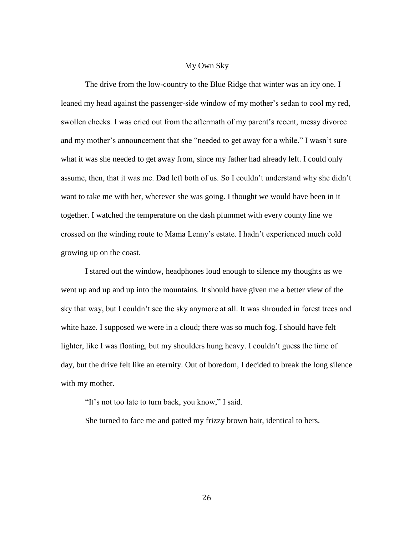#### My Own Sky

The drive from the low-country to the Blue Ridge that winter was an icy one. I leaned my head against the passenger-side window of my mother's sedan to cool my red, swollen cheeks. I was cried out from the aftermath of my parent's recent, messy divorce and my mother's announcement that she "needed to get away for a while." I wasn't sure what it was she needed to get away from, since my father had already left. I could only assume, then, that it was me. Dad left both of us. So I couldn't understand why she didn't want to take me with her, wherever she was going. I thought we would have been in it together. I watched the temperature on the dash plummet with every county line we crossed on the winding route to Mama Lenny's estate. I hadn't experienced much cold growing up on the coast.

I stared out the window, headphones loud enough to silence my thoughts as we went up and up and up into the mountains. It should have given me a better view of the sky that way, but I couldn't see the sky anymore at all. It was shrouded in forest trees and white haze. I supposed we were in a cloud; there was so much fog. I should have felt lighter, like I was floating, but my shoulders hung heavy. I couldn't guess the time of day, but the drive felt like an eternity. Out of boredom, I decided to break the long silence with my mother.

"It's not too late to turn back, you know," I said.

She turned to face me and patted my frizzy brown hair, identical to hers.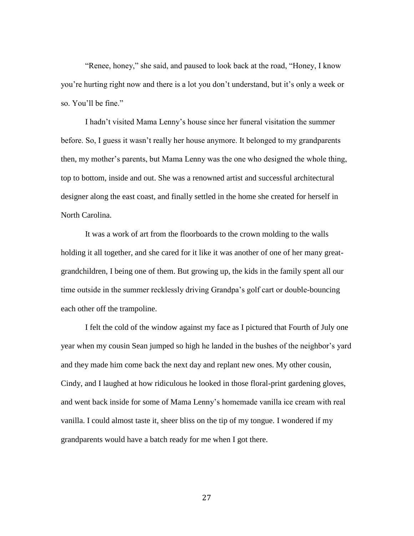"Renee, honey," she said, and paused to look back at the road, "Honey, I know you're hurting right now and there is a lot you don't understand, but it's only a week or so. You'll be fine."

I hadn't visited Mama Lenny's house since her funeral visitation the summer before. So, I guess it wasn't really her house anymore. It belonged to my grandparents then, my mother's parents, but Mama Lenny was the one who designed the whole thing, top to bottom, inside and out. She was a renowned artist and successful architectural designer along the east coast, and finally settled in the home she created for herself in North Carolina.

It was a work of art from the floorboards to the crown molding to the walls holding it all together, and she cared for it like it was another of one of her many greatgrandchildren, I being one of them. But growing up, the kids in the family spent all our time outside in the summer recklessly driving Grandpa's golf cart or double-bouncing each other off the trampoline.

I felt the cold of the window against my face as I pictured that Fourth of July one year when my cousin Sean jumped so high he landed in the bushes of the neighbor's yard and they made him come back the next day and replant new ones. My other cousin, Cindy, and I laughed at how ridiculous he looked in those floral-print gardening gloves, and went back inside for some of Mama Lenny's homemade vanilla ice cream with real vanilla. I could almost taste it, sheer bliss on the tip of my tongue. I wondered if my grandparents would have a batch ready for me when I got there.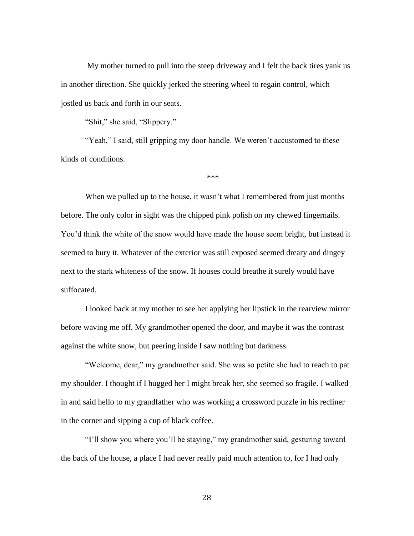My mother turned to pull into the steep driveway and I felt the back tires yank us in another direction. She quickly jerked the steering wheel to regain control, which jostled us back and forth in our seats.

"Shit," she said, "Slippery."

"Yeah," I said, still gripping my door handle. We weren't accustomed to these kinds of conditions.

\*\*\*

When we pulled up to the house, it wasn't what I remembered from just months before. The only color in sight was the chipped pink polish on my chewed fingernails. You'd think the white of the snow would have made the house seem bright, but instead it seemed to bury it. Whatever of the exterior was still exposed seemed dreary and dingey next to the stark whiteness of the snow. If houses could breathe it surely would have suffocated.

I looked back at my mother to see her applying her lipstick in the rearview mirror before waving me off. My grandmother opened the door, and maybe it was the contrast against the white snow, but peering inside I saw nothing but darkness.

"Welcome, dear," my grandmother said. She was so petite she had to reach to pat my shoulder. I thought if I hugged her I might break her, she seemed so fragile. I walked in and said hello to my grandfather who was working a crossword puzzle in his recliner in the corner and sipping a cup of black coffee.

"I'll show you where you'll be staying," my grandmother said, gesturing toward the back of the house, a place I had never really paid much attention to, for I had only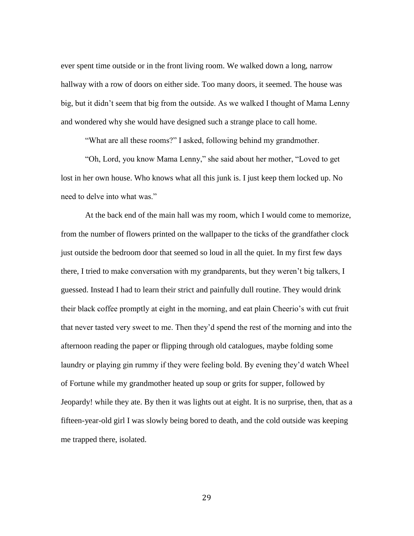ever spent time outside or in the front living room. We walked down a long, narrow hallway with a row of doors on either side. Too many doors, it seemed. The house was big, but it didn't seem that big from the outside. As we walked I thought of Mama Lenny and wondered why she would have designed such a strange place to call home.

"What are all these rooms?" I asked, following behind my grandmother.

"Oh, Lord, you know Mama Lenny," she said about her mother, "Loved to get lost in her own house. Who knows what all this junk is. I just keep them locked up. No need to delve into what was."

At the back end of the main hall was my room, which I would come to memorize, from the number of flowers printed on the wallpaper to the ticks of the grandfather clock just outside the bedroom door that seemed so loud in all the quiet. In my first few days there, I tried to make conversation with my grandparents, but they weren't big talkers, I guessed. Instead I had to learn their strict and painfully dull routine. They would drink their black coffee promptly at eight in the morning, and eat plain Cheerio's with cut fruit that never tasted very sweet to me. Then they'd spend the rest of the morning and into the afternoon reading the paper or flipping through old catalogues, maybe folding some laundry or playing gin rummy if they were feeling bold. By evening they'd watch Wheel of Fortune while my grandmother heated up soup or grits for supper, followed by Jeopardy! while they ate. By then it was lights out at eight. It is no surprise, then, that as a fifteen-year-old girl I was slowly being bored to death, and the cold outside was keeping me trapped there, isolated.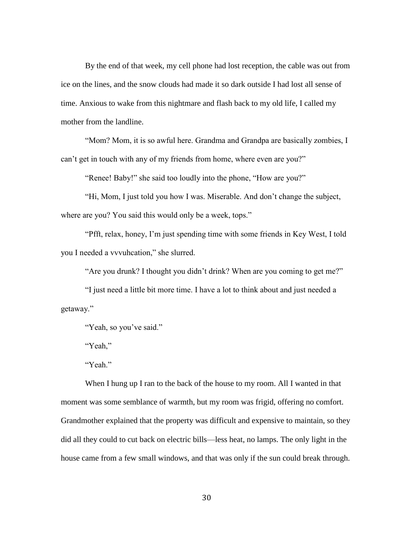By the end of that week, my cell phone had lost reception, the cable was out from ice on the lines, and the snow clouds had made it so dark outside I had lost all sense of time. Anxious to wake from this nightmare and flash back to my old life, I called my mother from the landline.

"Mom? Mom, it is so awful here. Grandma and Grandpa are basically zombies, I can't get in touch with any of my friends from home, where even are you?"

"Renee! Baby!" she said too loudly into the phone, "How are you?"

"Hi, Mom, I just told you how I was. Miserable. And don't change the subject, where are you? You said this would only be a week, tops."

"Pfft, relax, honey, I'm just spending time with some friends in Key West, I told you I needed a vvvuhcation," she slurred.

"Are you drunk? I thought you didn't drink? When are you coming to get me?"

"I just need a little bit more time. I have a lot to think about and just needed a getaway."

"Yeah, so you've said."

"Yeah,"

"Yeah."

When I hung up I ran to the back of the house to my room. All I wanted in that moment was some semblance of warmth, but my room was frigid, offering no comfort. Grandmother explained that the property was difficult and expensive to maintain, so they did all they could to cut back on electric bills—less heat, no lamps. The only light in the house came from a few small windows, and that was only if the sun could break through.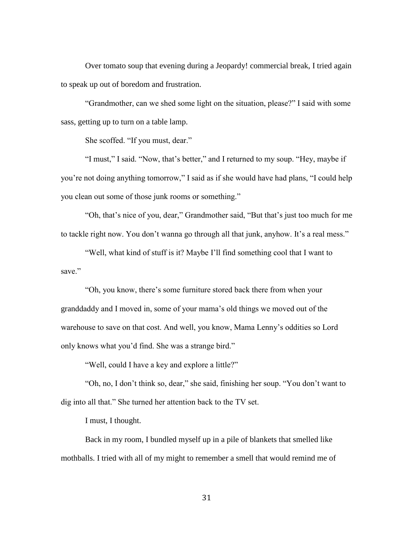Over tomato soup that evening during a Jeopardy! commercial break, I tried again to speak up out of boredom and frustration.

"Grandmother, can we shed some light on the situation, please?" I said with some sass, getting up to turn on a table lamp.

She scoffed. "If you must, dear."

"I must," I said. "Now, that's better," and I returned to my soup. "Hey, maybe if you're not doing anything tomorrow," I said as if she would have had plans, "I could help you clean out some of those junk rooms or something."

"Oh, that's nice of you, dear," Grandmother said, "But that's just too much for me to tackle right now. You don't wanna go through all that junk, anyhow. It's a real mess."

"Well, what kind of stuff is it? Maybe I'll find something cool that I want to save."

"Oh, you know, there's some furniture stored back there from when your granddaddy and I moved in, some of your mama's old things we moved out of the warehouse to save on that cost. And well, you know, Mama Lenny's oddities so Lord only knows what you'd find. She was a strange bird."

"Well, could I have a key and explore a little?"

"Oh, no, I don't think so, dear," she said, finishing her soup. "You don't want to dig into all that." She turned her attention back to the TV set.

I must, I thought.

Back in my room, I bundled myself up in a pile of blankets that smelled like mothballs. I tried with all of my might to remember a smell that would remind me of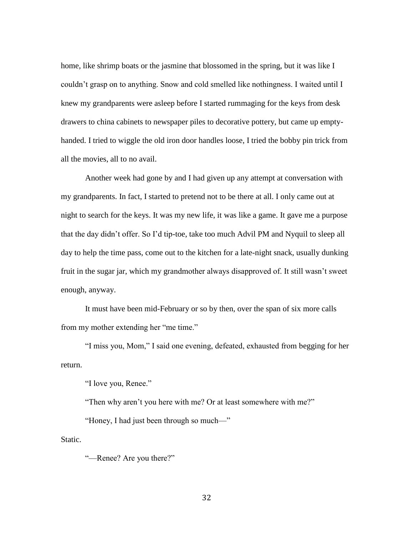home, like shrimp boats or the jasmine that blossomed in the spring, but it was like I couldn't grasp on to anything. Snow and cold smelled like nothingness. I waited until I knew my grandparents were asleep before I started rummaging for the keys from desk drawers to china cabinets to newspaper piles to decorative pottery, but came up emptyhanded. I tried to wiggle the old iron door handles loose, I tried the bobby pin trick from all the movies, all to no avail.

Another week had gone by and I had given up any attempt at conversation with my grandparents. In fact, I started to pretend not to be there at all. I only came out at night to search for the keys. It was my new life, it was like a game. It gave me a purpose that the day didn't offer. So I'd tip-toe, take too much Advil PM and Nyquil to sleep all day to help the time pass, come out to the kitchen for a late-night snack, usually dunking fruit in the sugar jar, which my grandmother always disapproved of. It still wasn't sweet enough, anyway.

It must have been mid-February or so by then, over the span of six more calls from my mother extending her "me time."

"I miss you, Mom," I said one evening, defeated, exhausted from begging for her return.

"I love you, Renee."

"Then why aren't you here with me? Or at least somewhere with me?"

"Honey, I had just been through so much—"

Static.

"—Renee? Are you there?"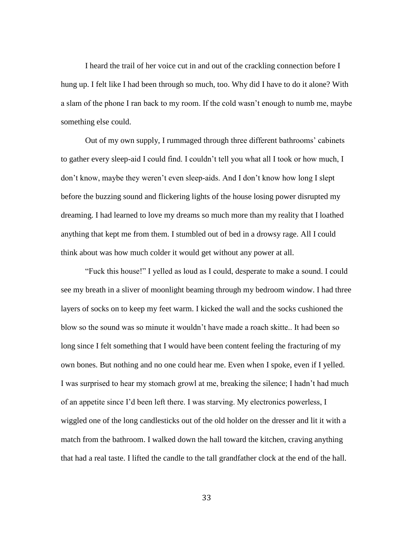I heard the trail of her voice cut in and out of the crackling connection before I hung up. I felt like I had been through so much, too. Why did I have to do it alone? With a slam of the phone I ran back to my room. If the cold wasn't enough to numb me, maybe something else could.

Out of my own supply, I rummaged through three different bathrooms' cabinets to gather every sleep-aid I could find. I couldn't tell you what all I took or how much, I don't know, maybe they weren't even sleep-aids. And I don't know how long I slept before the buzzing sound and flickering lights of the house losing power disrupted my dreaming. I had learned to love my dreams so much more than my reality that I loathed anything that kept me from them. I stumbled out of bed in a drowsy rage. All I could think about was how much colder it would get without any power at all.

"Fuck this house!" I yelled as loud as I could, desperate to make a sound. I could see my breath in a sliver of moonlight beaming through my bedroom window. I had three layers of socks on to keep my feet warm. I kicked the wall and the socks cushioned the blow so the sound was so minute it wouldn't have made a roach skitte.. It had been so long since I felt something that I would have been content feeling the fracturing of my own bones. But nothing and no one could hear me. Even when I spoke, even if I yelled. I was surprised to hear my stomach growl at me, breaking the silence; I hadn't had much of an appetite since I'd been left there. I was starving. My electronics powerless, I wiggled one of the long candlesticks out of the old holder on the dresser and lit it with a match from the bathroom. I walked down the hall toward the kitchen, craving anything that had a real taste. I lifted the candle to the tall grandfather clock at the end of the hall.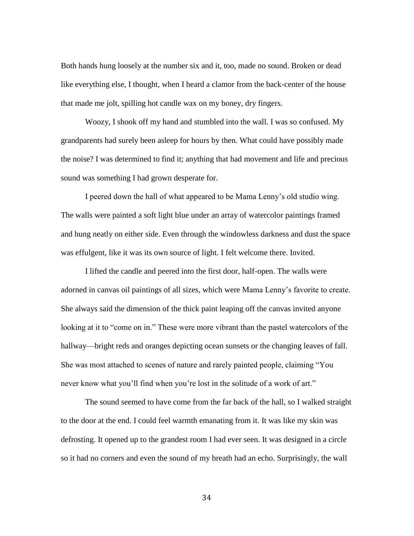Both hands hung loosely at the number six and it, too, made no sound. Broken or dead like everything else, I thought, when I heard a clamor from the back-center of the house that made me jolt, spilling hot candle wax on my boney, dry fingers.

Woozy, I shook off my hand and stumbled into the wall. I was so confused. My grandparents had surely been asleep for hours by then. What could have possibly made the noise? I was determined to find it; anything that had movement and life and precious sound was something I had grown desperate for.

I peered down the hall of what appeared to be Mama Lenny's old studio wing. The walls were painted a soft light blue under an array of watercolor paintings framed and hung neatly on either side. Even through the windowless darkness and dust the space was effulgent, like it was its own source of light. I felt welcome there. Invited.

I lifted the candle and peered into the first door, half-open. The walls were adorned in canvas oil paintings of all sizes, which were Mama Lenny's favorite to create. She always said the dimension of the thick paint leaping off the canvas invited anyone looking at it to "come on in." These were more vibrant than the pastel watercolors of the hallway—bright reds and oranges depicting ocean sunsets or the changing leaves of fall. She was most attached to scenes of nature and rarely painted people, claiming "You never know what you'll find when you're lost in the solitude of a work of art."

The sound seemed to have come from the far back of the hall, so I walked straight to the door at the end. I could feel warmth emanating from it. It was like my skin was defrosting. It opened up to the grandest room I had ever seen. It was designed in a circle so it had no corners and even the sound of my breath had an echo. Surprisingly, the wall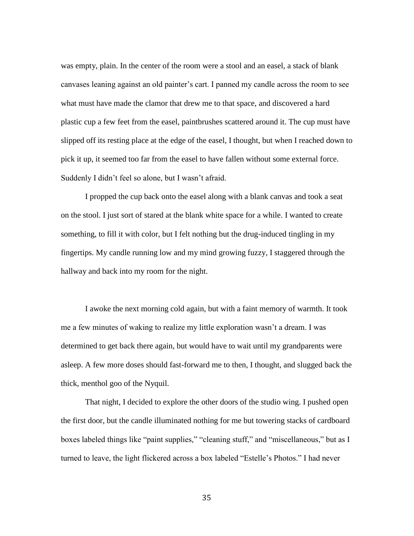was empty, plain. In the center of the room were a stool and an easel, a stack of blank canvases leaning against an old painter's cart. I panned my candle across the room to see what must have made the clamor that drew me to that space, and discovered a hard plastic cup a few feet from the easel, paintbrushes scattered around it. The cup must have slipped off its resting place at the edge of the easel, I thought, but when I reached down to pick it up, it seemed too far from the easel to have fallen without some external force. Suddenly I didn't feel so alone, but I wasn't afraid.

I propped the cup back onto the easel along with a blank canvas and took a seat on the stool. I just sort of stared at the blank white space for a while. I wanted to create something, to fill it with color, but I felt nothing but the drug-induced tingling in my fingertips. My candle running low and my mind growing fuzzy, I staggered through the hallway and back into my room for the night.

I awoke the next morning cold again, but with a faint memory of warmth. It took me a few minutes of waking to realize my little exploration wasn't a dream. I was determined to get back there again, but would have to wait until my grandparents were asleep. A few more doses should fast-forward me to then, I thought, and slugged back the thick, menthol goo of the Nyquil.

That night, I decided to explore the other doors of the studio wing. I pushed open the first door, but the candle illuminated nothing for me but towering stacks of cardboard boxes labeled things like "paint supplies," "cleaning stuff," and "miscellaneous," but as I turned to leave, the light flickered across a box labeled "Estelle's Photos." I had never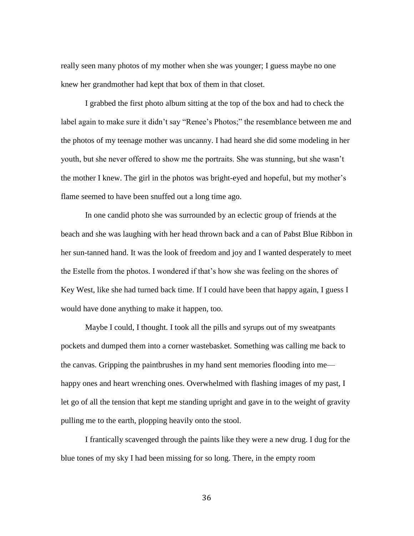really seen many photos of my mother when she was younger; I guess maybe no one knew her grandmother had kept that box of them in that closet.

I grabbed the first photo album sitting at the top of the box and had to check the label again to make sure it didn't say "Renee's Photos;" the resemblance between me and the photos of my teenage mother was uncanny. I had heard she did some modeling in her youth, but she never offered to show me the portraits. She was stunning, but she wasn't the mother I knew. The girl in the photos was bright-eyed and hopeful, but my mother's flame seemed to have been snuffed out a long time ago.

In one candid photo she was surrounded by an eclectic group of friends at the beach and she was laughing with her head thrown back and a can of Pabst Blue Ribbon in her sun-tanned hand. It was the look of freedom and joy and I wanted desperately to meet the Estelle from the photos. I wondered if that's how she was feeling on the shores of Key West, like she had turned back time. If I could have been that happy again, I guess I would have done anything to make it happen, too.

Maybe I could, I thought. I took all the pills and syrups out of my sweatpants pockets and dumped them into a corner wastebasket. Something was calling me back to the canvas. Gripping the paintbrushes in my hand sent memories flooding into me happy ones and heart wrenching ones. Overwhelmed with flashing images of my past, I let go of all the tension that kept me standing upright and gave in to the weight of gravity pulling me to the earth, plopping heavily onto the stool.

I frantically scavenged through the paints like they were a new drug. I dug for the blue tones of my sky I had been missing for so long. There, in the empty room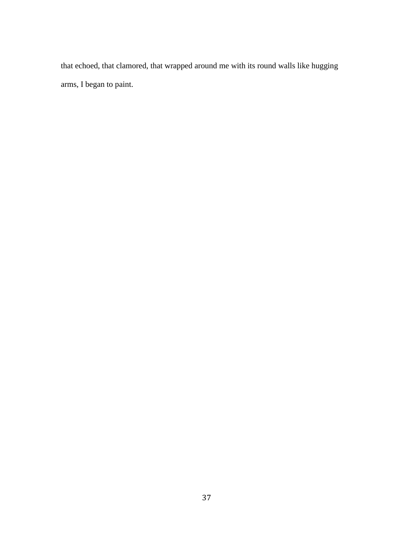that echoed, that clamored, that wrapped around me with its round walls like hugging arms, I began to paint.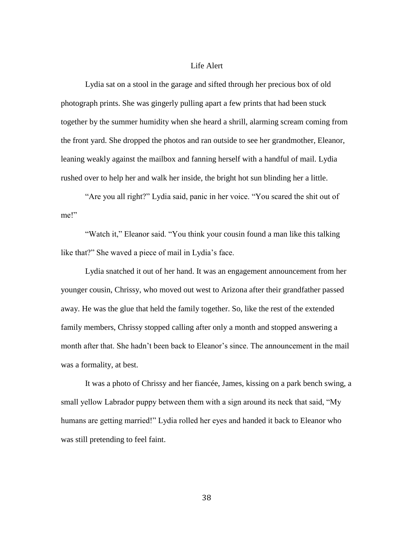# Life Alert

Lydia sat on a stool in the garage and sifted through her precious box of old photograph prints. She was gingerly pulling apart a few prints that had been stuck together by the summer humidity when she heard a shrill, alarming scream coming from the front yard. She dropped the photos and ran outside to see her grandmother, Eleanor, leaning weakly against the mailbox and fanning herself with a handful of mail. Lydia rushed over to help her and walk her inside, the bright hot sun blinding her a little.

"Are you all right?" Lydia said, panic in her voice. "You scared the shit out of me!"

"Watch it," Eleanor said. "You think your cousin found a man like this talking like that?" She waved a piece of mail in Lydia's face.

Lydia snatched it out of her hand. It was an engagement announcement from her younger cousin, Chrissy, who moved out west to Arizona after their grandfather passed away. He was the glue that held the family together. So, like the rest of the extended family members, Chrissy stopped calling after only a month and stopped answering a month after that. She hadn't been back to Eleanor's since. The announcement in the mail was a formality, at best.

It was a photo of Chrissy and her fiancée, James, kissing on a park bench swing, a small yellow Labrador puppy between them with a sign around its neck that said, "My humans are getting married!" Lydia rolled her eyes and handed it back to Eleanor who was still pretending to feel faint.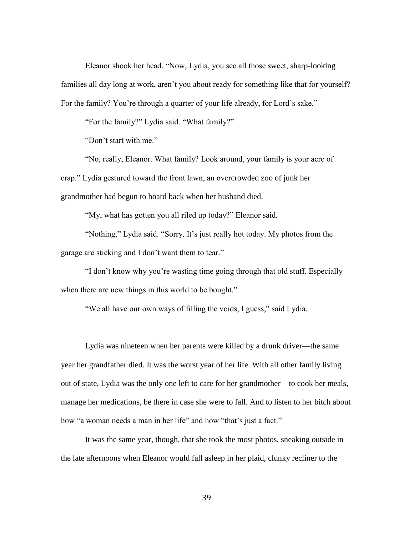Eleanor shook her head. "Now, Lydia, you see all those sweet, sharp-looking families all day long at work, aren't you about ready for something like that for yourself? For the family? You're through a quarter of your life already, for Lord's sake."

"For the family?" Lydia said. "What family?"

"Don't start with me."

"No, really, Eleanor. What family? Look around, your family is your acre of crap." Lydia gestured toward the front lawn, an overcrowded zoo of junk her grandmother had begun to hoard back when her husband died.

"My, what has gotten you all riled up today?" Eleanor said.

"Nothing," Lydia said. "Sorry. It's just really hot today. My photos from the garage are sticking and I don't want them to tear."

"I don't know why you're wasting time going through that old stuff. Especially when there are new things in this world to be bought."

"We all have our own ways of filling the voids, I guess," said Lydia.

Lydia was nineteen when her parents were killed by a drunk driver—the same year her grandfather died. It was the worst year of her life. With all other family living out of state, Lydia was the only one left to care for her grandmother—to cook her meals, manage her medications, be there in case she were to fall. And to listen to her bitch about how "a woman needs a man in her life" and how "that's just a fact."

It was the same year, though, that she took the most photos, sneaking outside in the late afternoons when Eleanor would fall asleep in her plaid, clunky recliner to the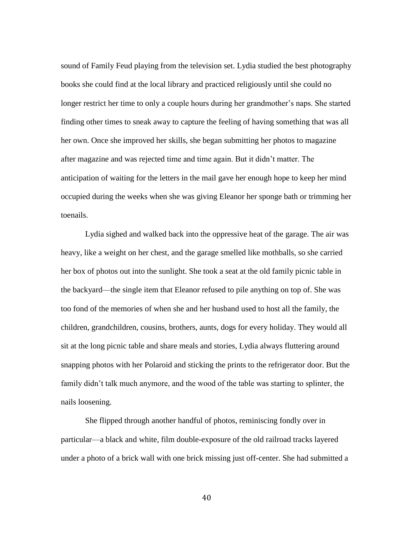sound of Family Feud playing from the television set. Lydia studied the best photography books she could find at the local library and practiced religiously until she could no longer restrict her time to only a couple hours during her grandmother's naps. She started finding other times to sneak away to capture the feeling of having something that was all her own. Once she improved her skills, she began submitting her photos to magazine after magazine and was rejected time and time again. But it didn't matter. The anticipation of waiting for the letters in the mail gave her enough hope to keep her mind occupied during the weeks when she was giving Eleanor her sponge bath or trimming her toenails.

Lydia sighed and walked back into the oppressive heat of the garage. The air was heavy, like a weight on her chest, and the garage smelled like mothballs, so she carried her box of photos out into the sunlight. She took a seat at the old family picnic table in the backyard—the single item that Eleanor refused to pile anything on top of. She was too fond of the memories of when she and her husband used to host all the family, the children, grandchildren, cousins, brothers, aunts, dogs for every holiday. They would all sit at the long picnic table and share meals and stories, Lydia always fluttering around snapping photos with her Polaroid and sticking the prints to the refrigerator door. But the family didn't talk much anymore, and the wood of the table was starting to splinter, the nails loosening.

She flipped through another handful of photos, reminiscing fondly over in particular—a black and white, film double-exposure of the old railroad tracks layered under a photo of a brick wall with one brick missing just off-center. She had submitted a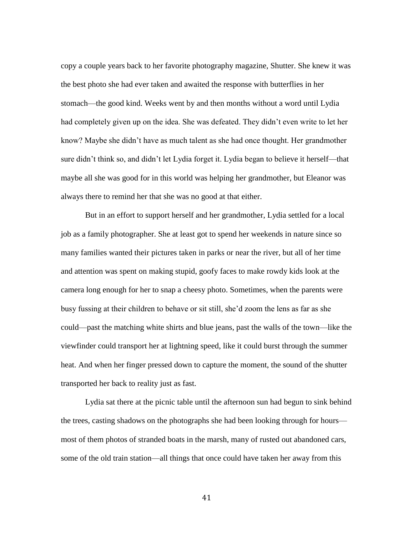copy a couple years back to her favorite photography magazine, Shutter. She knew it was the best photo she had ever taken and awaited the response with butterflies in her stomach—the good kind. Weeks went by and then months without a word until Lydia had completely given up on the idea. She was defeated. They didn't even write to let her know? Maybe she didn't have as much talent as she had once thought. Her grandmother sure didn't think so, and didn't let Lydia forget it. Lydia began to believe it herself—that maybe all she was good for in this world was helping her grandmother, but Eleanor was always there to remind her that she was no good at that either.

But in an effort to support herself and her grandmother, Lydia settled for a local job as a family photographer. She at least got to spend her weekends in nature since so many families wanted their pictures taken in parks or near the river, but all of her time and attention was spent on making stupid, goofy faces to make rowdy kids look at the camera long enough for her to snap a cheesy photo. Sometimes, when the parents were busy fussing at their children to behave or sit still, she'd zoom the lens as far as she could—past the matching white shirts and blue jeans, past the walls of the town—like the viewfinder could transport her at lightning speed, like it could burst through the summer heat. And when her finger pressed down to capture the moment, the sound of the shutter transported her back to reality just as fast.

Lydia sat there at the picnic table until the afternoon sun had begun to sink behind the trees, casting shadows on the photographs she had been looking through for hours most of them photos of stranded boats in the marsh, many of rusted out abandoned cars, some of the old train station—all things that once could have taken her away from this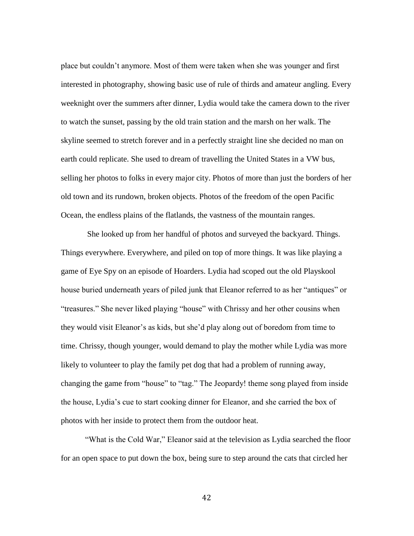place but couldn't anymore. Most of them were taken when she was younger and first interested in photography, showing basic use of rule of thirds and amateur angling. Every weeknight over the summers after dinner, Lydia would take the camera down to the river to watch the sunset, passing by the old train station and the marsh on her walk. The skyline seemed to stretch forever and in a perfectly straight line she decided no man on earth could replicate. She used to dream of travelling the United States in a VW bus, selling her photos to folks in every major city. Photos of more than just the borders of her old town and its rundown, broken objects. Photos of the freedom of the open Pacific Ocean, the endless plains of the flatlands, the vastness of the mountain ranges.

She looked up from her handful of photos and surveyed the backyard. Things. Things everywhere. Everywhere, and piled on top of more things. It was like playing a game of Eye Spy on an episode of Hoarders. Lydia had scoped out the old Playskool house buried underneath years of piled junk that Eleanor referred to as her "antiques" or "treasures." She never liked playing "house" with Chrissy and her other cousins when they would visit Eleanor's as kids, but she'd play along out of boredom from time to time. Chrissy, though younger, would demand to play the mother while Lydia was more likely to volunteer to play the family pet dog that had a problem of running away, changing the game from "house" to "tag." The Jeopardy! theme song played from inside the house, Lydia's cue to start cooking dinner for Eleanor, and she carried the box of photos with her inside to protect them from the outdoor heat.

"What is the Cold War," Eleanor said at the television as Lydia searched the floor for an open space to put down the box, being sure to step around the cats that circled her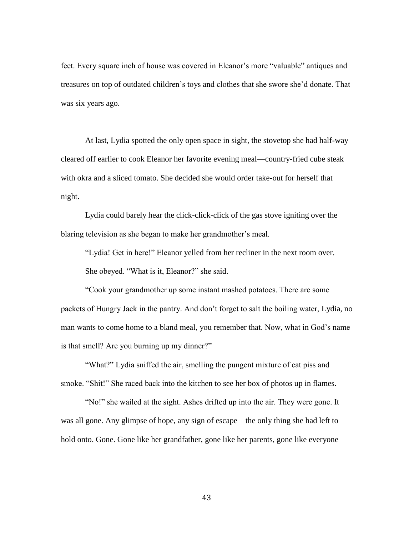feet. Every square inch of house was covered in Eleanor's more "valuable" antiques and treasures on top of outdated children's toys and clothes that she swore she'd donate. That was six years ago.

At last, Lydia spotted the only open space in sight, the stovetop she had half-way cleared off earlier to cook Eleanor her favorite evening meal—country-fried cube steak with okra and a sliced tomato. She decided she would order take-out for herself that night.

Lydia could barely hear the click-click-click of the gas stove igniting over the blaring television as she began to make her grandmother's meal.

"Lydia! Get in here!" Eleanor yelled from her recliner in the next room over. She obeyed. "What is it, Eleanor?" she said.

"Cook your grandmother up some instant mashed potatoes. There are some packets of Hungry Jack in the pantry. And don't forget to salt the boiling water, Lydia, no man wants to come home to a bland meal, you remember that. Now, what in God's name is that smell? Are you burning up my dinner?"

"What?" Lydia sniffed the air, smelling the pungent mixture of cat piss and smoke. "Shit!" She raced back into the kitchen to see her box of photos up in flames.

"No!" she wailed at the sight. Ashes drifted up into the air. They were gone. It was all gone. Any glimpse of hope, any sign of escape—the only thing she had left to hold onto. Gone. Gone like her grandfather, gone like her parents, gone like everyone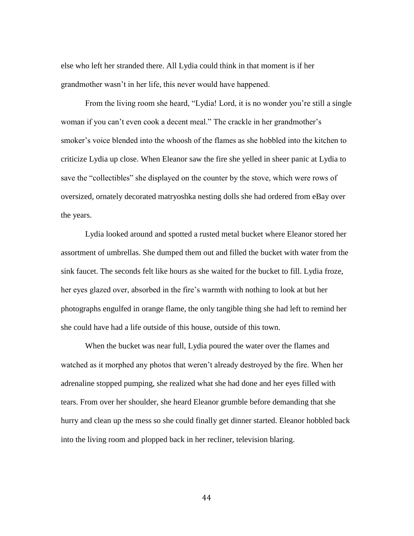else who left her stranded there. All Lydia could think in that moment is if her grandmother wasn't in her life, this never would have happened.

From the living room she heard, "Lydia! Lord, it is no wonder you're still a single woman if you can't even cook a decent meal." The crackle in her grandmother's smoker's voice blended into the whoosh of the flames as she hobbled into the kitchen to criticize Lydia up close. When Eleanor saw the fire she yelled in sheer panic at Lydia to save the "collectibles" she displayed on the counter by the stove, which were rows of oversized, ornately decorated matryoshka nesting dolls she had ordered from eBay over the years.

Lydia looked around and spotted a rusted metal bucket where Eleanor stored her assortment of umbrellas. She dumped them out and filled the bucket with water from the sink faucet. The seconds felt like hours as she waited for the bucket to fill. Lydia froze, her eyes glazed over, absorbed in the fire's warmth with nothing to look at but her photographs engulfed in orange flame, the only tangible thing she had left to remind her she could have had a life outside of this house, outside of this town.

When the bucket was near full, Lydia poured the water over the flames and watched as it morphed any photos that weren't already destroyed by the fire. When her adrenaline stopped pumping, she realized what she had done and her eyes filled with tears. From over her shoulder, she heard Eleanor grumble before demanding that she hurry and clean up the mess so she could finally get dinner started. Eleanor hobbled back into the living room and plopped back in her recliner, television blaring.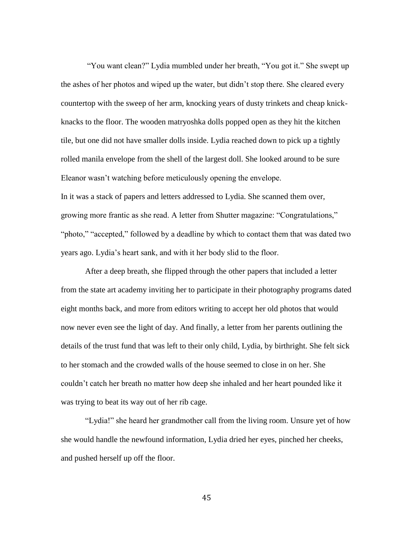"You want clean?" Lydia mumbled under her breath, "You got it." She swept up the ashes of her photos and wiped up the water, but didn't stop there. She cleared every countertop with the sweep of her arm, knocking years of dusty trinkets and cheap knickknacks to the floor. The wooden matryoshka dolls popped open as they hit the kitchen tile, but one did not have smaller dolls inside. Lydia reached down to pick up a tightly rolled manila envelope from the shell of the largest doll. She looked around to be sure Eleanor wasn't watching before meticulously opening the envelope. In it was a stack of papers and letters addressed to Lydia. She scanned them over, growing more frantic as she read. A letter from Shutter magazine: "Congratulations," "photo," "accepted," followed by a deadline by which to contact them that was dated two years ago. Lydia's heart sank, and with it her body slid to the floor.

After a deep breath, she flipped through the other papers that included a letter from the state art academy inviting her to participate in their photography programs dated eight months back, and more from editors writing to accept her old photos that would now never even see the light of day. And finally, a letter from her parents outlining the details of the trust fund that was left to their only child, Lydia, by birthright. She felt sick to her stomach and the crowded walls of the house seemed to close in on her. She couldn't catch her breath no matter how deep she inhaled and her heart pounded like it was trying to beat its way out of her rib cage.

"Lydia!" she heard her grandmother call from the living room. Unsure yet of how she would handle the newfound information, Lydia dried her eyes, pinched her cheeks, and pushed herself up off the floor.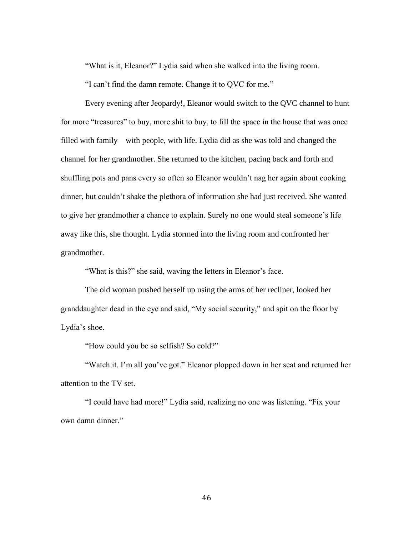"What is it, Eleanor?" Lydia said when she walked into the living room.

"I can't find the damn remote. Change it to QVC for me."

Every evening after Jeopardy!, Eleanor would switch to the QVC channel to hunt for more "treasures" to buy, more shit to buy, to fill the space in the house that was once filled with family—with people, with life. Lydia did as she was told and changed the channel for her grandmother. She returned to the kitchen, pacing back and forth and shuffling pots and pans every so often so Eleanor wouldn't nag her again about cooking dinner, but couldn't shake the plethora of information she had just received. She wanted to give her grandmother a chance to explain. Surely no one would steal someone's life away like this, she thought. Lydia stormed into the living room and confronted her grandmother.

"What is this?" she said, waving the letters in Eleanor's face.

The old woman pushed herself up using the arms of her recliner, looked her granddaughter dead in the eye and said, "My social security," and spit on the floor by Lydia's shoe.

"How could you be so selfish? So cold?"

"Watch it. I'm all you've got." Eleanor plopped down in her seat and returned her attention to the TV set.

"I could have had more!" Lydia said, realizing no one was listening. "Fix your own damn dinner."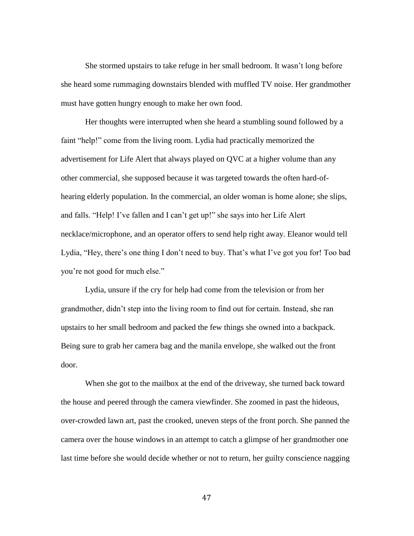She stormed upstairs to take refuge in her small bedroom. It wasn't long before she heard some rummaging downstairs blended with muffled TV noise. Her grandmother must have gotten hungry enough to make her own food.

Her thoughts were interrupted when she heard a stumbling sound followed by a faint "help!" come from the living room. Lydia had practically memorized the advertisement for Life Alert that always played on QVC at a higher volume than any other commercial, she supposed because it was targeted towards the often hard-ofhearing elderly population. In the commercial, an older woman is home alone; she slips, and falls. "Help! I've fallen and I can't get up!" she says into her Life Alert necklace/microphone, and an operator offers to send help right away. Eleanor would tell Lydia, "Hey, there's one thing I don't need to buy. That's what I've got you for! Too bad you're not good for much else."

Lydia, unsure if the cry for help had come from the television or from her grandmother, didn't step into the living room to find out for certain. Instead, she ran upstairs to her small bedroom and packed the few things she owned into a backpack. Being sure to grab her camera bag and the manila envelope, she walked out the front door.

When she got to the mailbox at the end of the driveway, she turned back toward the house and peered through the camera viewfinder. She zoomed in past the hideous, over-crowded lawn art, past the crooked, uneven steps of the front porch. She panned the camera over the house windows in an attempt to catch a glimpse of her grandmother one last time before she would decide whether or not to return, her guilty conscience nagging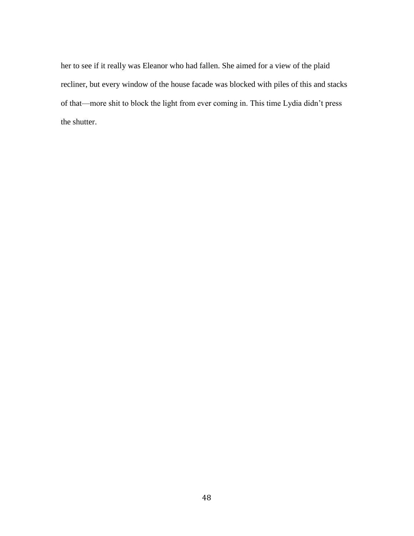her to see if it really was Eleanor who had fallen. She aimed for a view of the plaid recliner, but every window of the house facade was blocked with piles of this and stacks of that—more shit to block the light from ever coming in. This time Lydia didn't press the shutter.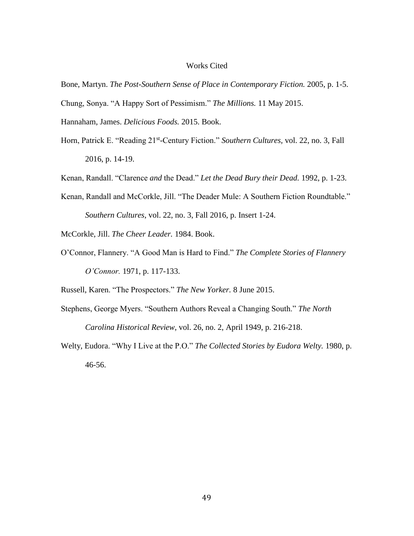### Works Cited

- Bone, Martyn. *The Post-Southern Sense of Place in Contemporary Fiction.* 2005, p. 1-5. Chung, Sonya. "A Happy Sort of Pessimism." *The Millions.* 11 May 2015.
- Hannaham, James. *Delicious Foods.* 2015. Book.
- Horn, Patrick E. "Reading 21<sup>st</sup>-Century Fiction." Southern Cultures, vol. 22, no. 3, Fall 2016, p. 14-19.

Kenan, Randall. "Clarence *and* the Dead." *Let the Dead Bury their Dead.* 1992, p. 1-23.

- Kenan, Randall and McCorkle, Jill. "The Deader Mule: A Southern Fiction Roundtable." *Southern Cultures*, vol. 22, no. 3, Fall 2016, p. Insert 1-24.
- McCorkle, Jill. *The Cheer Leader.* 1984. Book.
- O'Connor, Flannery. "A Good Man is Hard to Find." *The Complete Stories of Flannery O'Connor.* 1971, p. 117-133.

Russell, Karen. "The Prospectors." *The New Yorker.* 8 June 2015.

Stephens, George Myers. "Southern Authors Reveal a Changing South." *The North* 

*Carolina Historical Review,* vol. 26, no. 2, April 1949, p. 216-218.

Welty, Eudora. "Why I Live at the P.O." *The Collected Stories by Eudora Welty.* 1980, p. 46-56.